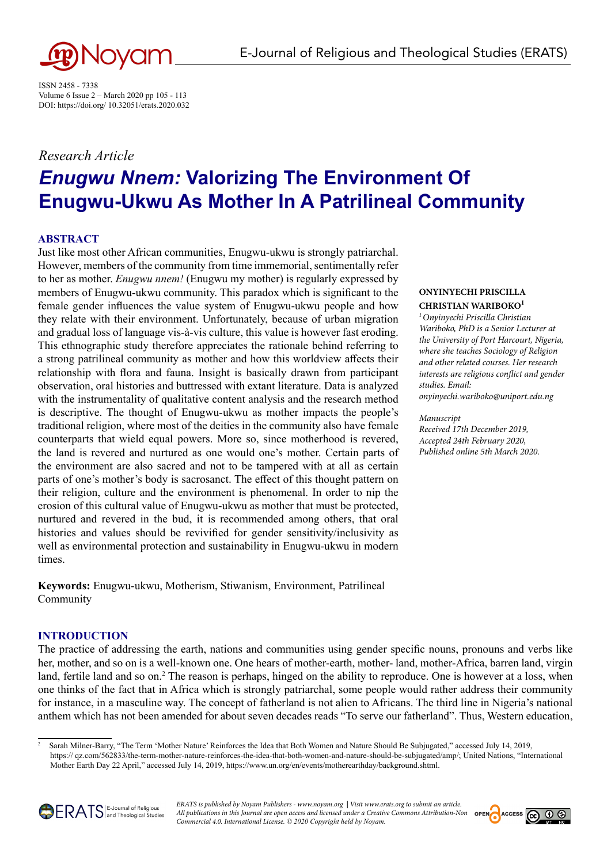

ISSN 2458 - 7338 Volume 6 Issue 2 – March 2020 pp 105 - 113 DOI: https://doi.org/ 10.32051/erats.2020.032

# *Research Article Enugwu Nnem:* **Valorizing The Environment Of Enugwu-Ukwu As Mother In A Patrilineal Community**

# **ABSTRACT**

Just like most other African communities, Enugwu-ukwu is strongly patriarchal. However, members of the community from time immemorial, sentimentally refer to her as mother. *Enugwu nnem!* (Enugwu my mother) is regularly expressed by members of Enugwu-ukwu community. This paradox which is significant to the female gender influences the value system of Enugwu-ukwu people and how they relate with their environment. Unfortunately, because of urban migration and gradual loss of language vis-à-vis culture, this value is however fast eroding. This ethnographic study therefore appreciates the rationale behind referring to a strong patrilineal community as mother and how this worldview affects their relationship with flora and fauna. Insight is basically drawn from participant observation, oral histories and buttressed with extant literature. Data is analyzed with the instrumentality of qualitative content analysis and the research method is descriptive. The thought of Enugwu-ukwu as mother impacts the people's traditional religion, where most of the deities in the community also have female counterparts that wield equal powers. More so, since motherhood is revered, the land is revered and nurtured as one would one's mother. Certain parts of the environment are also sacred and not to be tampered with at all as certain parts of one's mother's body is sacrosanct. The effect of this thought pattern on their religion, culture and the environment is phenomenal. In order to nip the erosion of this cultural value of Enugwu-ukwu as mother that must be protected, nurtured and revered in the bud, it is recommended among others, that oral histories and values should be revivified for gender sensitivity/inclusivity as well as environmental protection and sustainability in Enugwu-ukwu in modern times.

**Keywords:** Enugwu-ukwu, Motherism, Stiwanism, Environment, Patrilineal Community

## **INTRODUCTION**

The practice of addressing the earth, nations and communities using gender specific nouns, pronouns and verbs like her, mother, and so on is a well-known one. One hears of mother-earth, mother- land, mother-Africa, barren land, virgin land, fertile land and so on.<sup>2</sup> The reason is perhaps, hinged on the ability to reproduce. One is however at a loss, when one thinks of the fact that in Africa which is strongly patriarchal, some people would rather address their community for instance, in a masculine way. The concept of fatherland is not alien to Africans. The third line in Nigeria's national anthem which has not been amended for about seven decades reads "To serve our fatherland". Thus, Western education,

<sup>2</sup> Sarah Milner-Barry, "The Term 'Mother Nature' Reinforces the Idea that Both Women and Nature Should Be Subjugated," accessed July 14, 2019, https:// qz.com/562833/the-term-mother-nature-reinforces-the-idea-that-both-women-and-nature-should-be-subjugated/amp/; United Nations, "International Mother Earth Day 22 April," accessed July 14, 2019, https://www.un.org/en/events/motherearthday/background.shtml.





## **ONYINYECHI PRISCILLA CHRISTIAN WARIBOKO<sup>1</sup>**

*1 Onyinyechi Priscilla Christian Wariboko, PhD is a Senior Lecturer at the University of Port Harcourt, Nigeria, where she teaches Sociology of Religion and other related courses. Her research interests are religious conflict and gender studies. Email:* 

*onyinyechi.wariboko@uniport.edu.ng*

#### *Manuscript*

*Received 17th December 2019, Accepted 24th February 2020, Published online 5th March 2020.*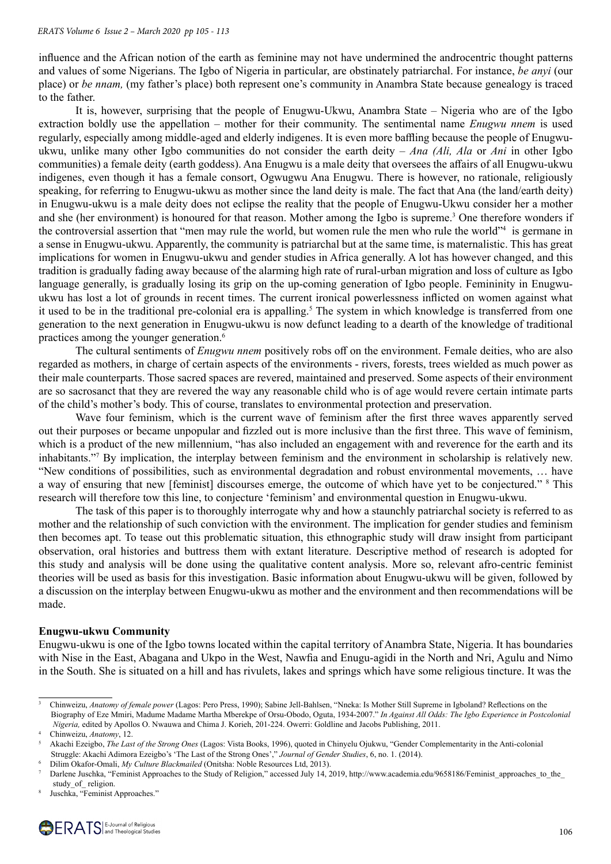influence and the African notion of the earth as feminine may not have undermined the androcentric thought patterns and values of some Nigerians. The Igbo of Nigeria in particular, are obstinately patriarchal. For instance, *be anyi* (our place) or *be nnam,* (my father's place) both represent one's community in Anambra State because genealogy is traced to the father.

It is, however, surprising that the people of Enugwu-Ukwu, Anambra State – Nigeria who are of the Igbo extraction boldly use the appellation – mother for their community. The sentimental name *Enugwu nnem* is used regularly, especially among middle-aged and elderly indigenes. It is even more baffling because the people of Enugwuukwu, unlike many other Igbo communities do not consider the earth deity – *Ana (Ali, Ala* or *Ani* in other Igbo communities) a female deity (earth goddess). Ana Enugwu is a male deity that oversees the affairs of all Enugwu-ukwu indigenes, even though it has a female consort, Ogwugwu Ana Enugwu. There is however, no rationale, religiously speaking, for referring to Enugwu-ukwu as mother since the land deity is male. The fact that Ana (the land/earth deity) in Enugwu-ukwu is a male deity does not eclipse the reality that the people of Enugwu-Ukwu consider her a mother and she (her environment) is honoured for that reason. Mother among the Igbo is supreme.<sup>3</sup> One therefore wonders if the controversial assertion that "men may rule the world, but women rule the men who rule the world"<sup>4</sup> is germane in a sense in Enugwu-ukwu. Apparently, the community is patriarchal but at the same time, is maternalistic. This has great implications for women in Enugwu-ukwu and gender studies in Africa generally. A lot has however changed, and this tradition is gradually fading away because of the alarming high rate of rural-urban migration and loss of culture as Igbo language generally, is gradually losing its grip on the up-coming generation of Igbo people. Femininity in Enugwuukwu has lost a lot of grounds in recent times. The current ironical powerlessness inflicted on women against what it used to be in the traditional pre-colonial era is appalling.<sup>5</sup> The system in which knowledge is transferred from one generation to the next generation in Enugwu-ukwu is now defunct leading to a dearth of the knowledge of traditional practices among the younger generation.<sup>6</sup>

The cultural sentiments of *Enugwu nnem* positively robs off on the environment. Female deities, who are also regarded as mothers, in charge of certain aspects of the environments - rivers, forests, trees wielded as much power as their male counterparts. Those sacred spaces are revered, maintained and preserved. Some aspects of their environment are so sacrosanct that they are revered the way any reasonable child who is of age would revere certain intimate parts of the child's mother's body. This of course, translates to environmental protection and preservation.

Wave four feminism, which is the current wave of feminism after the first three waves apparently served out their purposes or became unpopular and fizzled out is more inclusive than the first three. This wave of feminism, which is a product of the new millennium, "has also included an engagement with and reverence for the earth and its inhabitants."7 By implication, the interplay between feminism and the environment in scholarship is relatively new. "New conditions of possibilities, such as environmental degradation and robust environmental movements, … have a way of ensuring that new [feminist] discourses emerge, the outcome of which have yet to be conjectured." <sup>8</sup> This research will therefore tow this line, to conjecture 'feminism' and environmental question in Enugwu-ukwu.

The task of this paper is to thoroughly interrogate why and how a staunchly patriarchal society is referred to as mother and the relationship of such conviction with the environment. The implication for gender studies and feminism then becomes apt. To tease out this problematic situation, this ethnographic study will draw insight from participant observation, oral histories and buttress them with extant literature. Descriptive method of research is adopted for this study and analysis will be done using the qualitative content analysis. More so, relevant afro-centric feminist theories will be used as basis for this investigation. Basic information about Enugwu-ukwu will be given, followed by a discussion on the interplay between Enugwu-ukwu as mother and the environment and then recommendations will be made.

#### **Enugwu-ukwu Community**

Enugwu-ukwu is one of the Igbo towns located within the capital territory of Anambra State, Nigeria. It has boundaries with Nise in the East, Abagana and Ukpo in the West, Nawfia and Enugu-agidi in the North and Nri, Agulu and Nimo in the South. She is situated on a hill and has rivulets, lakes and springs which have some religious tincture. It was the

<sup>3</sup> Chinweizu, *Anatomy of female power* (Lagos: Pero Press, 1990); Sabine Jell-Bahlsen, "Nneka: Is Mother Still Supreme in Igboland? Reflections on the Biography of Eze Mmiri, Madume Madame Martha Mberekpe of Orsu-Obodo, Oguta, 1934-2007." *In Against All Odds: The Igbo Experience in Postcolonial* 

*Nigeria,* edited by Apollos O. Nwauwa and Chima J. Korieh, 201-224. Owerri: Goldline and Jacobs Publishing, 2011.

<sup>4</sup> Chinweizu, *Anatomy*, 12.

<sup>5</sup> Akachi Ezeigbo, *The Last of the Strong Ones* (Lagos: Vista Books, 1996), quoted in Chinyelu Ojukwu, "Gender Complementarity in the Anti-colonial Struggle: Akachi Adimora Ezeigbo's 'The Last of the Strong Ones'," *Journal of Gender Studies*, 6, no. 1. (2014).

<sup>6</sup> Dilim Okafor-Omali, *My Culture Blackmailed* (Onitsha: Noble Resources Ltd, 2013).

Darlene Juschka, "Feminist Approaches to the Study of Religion," accessed July 14, 2019, http://www.academia.edu/9658186/Feminist approaches to the study of religion.

Juschka, "Feminist Approaches."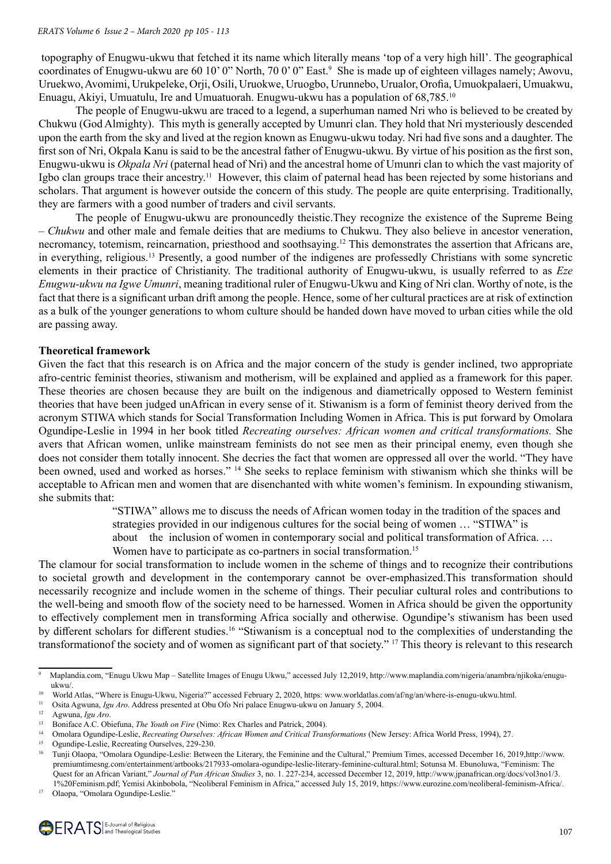topography of Enugwu-ukwu that fetched it its name which literally means 'top of a very high hill'. The geographical coordinates of Enugwu-ukwu are 60 10' 0" North, 70 0' 0" East.<sup>9</sup> She is made up of eighteen villages namely; Awovu, Uruekwo, Avomimi, Urukpeleke, Orji, Osili, Uruokwe, Uruogbo, Urunnebo, Urualor, Orofia, Umuokpalaeri, Umuakwu, Enuagu, Akiyi, Umuatulu, Ire and Umuatuorah. Enugwu-ukwu has a population of 68,785.10

The people of Enugwu-ukwu are traced to a legend, a superhuman named Nri who is believed to be created by Chukwu (God Almighty). This myth is generally accepted by Umunri clan. They hold that Nri mysteriously descended upon the earth from the sky and lived at the region known as Enugwu-ukwu today. Nri had five sons and a daughter. The first son of Nri, Okpala Kanu is said to be the ancestral father of Enugwu-ukwu. By virtue of his position as the first son, Enugwu-ukwu is *Okpala Nri* (paternal head of Nri) and the ancestral home of Umunri clan to which the vast majority of Igbo clan groups trace their ancestry.<sup>11</sup> However, this claim of paternal head has been rejected by some historians and scholars. That argument is however outside the concern of this study. The people are quite enterprising. Traditionally, they are farmers with a good number of traders and civil servants.

The people of Enugwu-ukwu are pronouncedly theistic.They recognize the existence of the Supreme Being – *Chukwu* and other male and female deities that are mediums to Chukwu. They also believe in ancestor veneration, necromancy, totemism, reincarnation, priesthood and soothsaying.<sup>12</sup> This demonstrates the assertion that Africans are, in everything, religious.<sup>13</sup> Presently, a good number of the indigenes are professedly Christians with some syncretic elements in their practice of Christianity. The traditional authority of Enugwu-ukwu, is usually referred to as *Eze Enugwu-ukwu na Igwe Umunri*, meaning traditional ruler of Enugwu-Ukwu and King of Nri clan. Worthy of note, is the fact that there is a significant urban drift among the people. Hence, some of her cultural practices are at risk of extinction as a bulk of the younger generations to whom culture should be handed down have moved to urban cities while the old are passing away.

### **Theoretical framework**

Given the fact that this research is on Africa and the major concern of the study is gender inclined, two appropriate afro-centric feminist theories, stiwanism and motherism, will be explained and applied as a framework for this paper. These theories are chosen because they are built on the indigenous and diametrically opposed to Western feminist theories that have been judged unAfrican in every sense of it. Stiwanism is a form of feminist theory derived from the acronym STIWA which stands for Social Transformation Including Women in Africa. This is put forward by Omolara Ogundipe-Leslie in 1994 in her book titled *Recreating ourselves: African women and critical transformations.* She avers that African women, unlike mainstream feminists do not see men as their principal enemy, even though she does not consider them totally innocent. She decries the fact that women are oppressed all over the world. "They have been owned, used and worked as horses." <sup>14</sup> She seeks to replace feminism with stiwanism which she thinks will be acceptable to African men and women that are disenchanted with white women's feminism. In expounding stiwanism, she submits that:

"STIWA" allows me to discuss the needs of African women today in the tradition of the spaces and

strategies provided in our indigenous cultures for the social being of women … "STIWA" is

about the inclusion of women in contemporary social and political transformation of Africa. …

Women have to participate as co-partners in social transformation.<sup>15</sup>

The clamour for social transformation to include women in the scheme of things and to recognize their contributions to societal growth and development in the contemporary cannot be over-emphasized.This transformation should necessarily recognize and include women in the scheme of things. Their peculiar cultural roles and contributions to the well-being and smooth flow of the society need to be harnessed. Women in Africa should be given the opportunity to effectively complement men in transforming Africa socially and otherwise. Ogundipe's stiwanism has been used by different scholars for different studies.16 "Stiwanism is a conceptual nod to the complexities of understanding the transformationof the society and of women as significant part of that society." 17 This theory is relevant to this research

Olaopa, "Omolara Ogundipe-Leslie."

<sup>9</sup> Maplandia.com, "Enugu Ukwu Map – Satellite Images of Enugu Ukwu," accessed July 12,2019, http://www.maplandia.com/nigeria/anambra/njikoka/enugu  $ukwu/$ .

<sup>&</sup>lt;sup>10</sup> World Atlas, "Where is Enugu-Ukwu, Nigeria?" accessed February 2, 2020, https: www.worldatlas.com/af/ng/an/where-is-enugu-ukwu.html.<br><sup>11</sup> Osite Agyunna *Jou Are*, Address presented at Obu Ofe Nri palaes Enugua ukwu.en

<sup>&</sup>lt;sup>11</sup> Osita Agwuna, *Igu Aro*. Address presented at Obu Ofo Nri palace Enugwu-ukwu on January 5, 2004.

<sup>&</sup>lt;sup>12</sup> Agwuna, *Igu Aro*.<br><sup>13</sup> Boniface  $\Lambda$  C Ob

<sup>13</sup> Boniface A.C. Obiefuna, *The Youth on Fire* (Nimo: Rex Charles and Patrick, 2004).

<sup>&</sup>lt;sup>14</sup> Omolara Ogundipe-Leslie, *Recreating Ourselves: African Women and Critical Transformations* (New Jersey: Africa World Press, 1994), 27.

Ogundipe-Leslie, Recreating Ourselves, 229-230.

<sup>16</sup> Tunji Olaopa, "Omolara Ogundipe-Leslie: Between the Literary, the Feminine and the Cultural," Premium Times, accessed December 16, 2019,http://www. premiumtimesng.com/entertainment/artbooks/217933-omolara-ogundipe-leslie-literary-feminine-cultural.html; Sotunsa M. Ebunoluwa, "Feminism: The Quest for an African Variant," *Journal of Pan African Studies* 3, no. 1. 227-234, accessed December 12, 2019, http://www.jpanafrican.org/docs/vol3no1/3. 1%20Feminism.pdf; Yemisi Akinbobola, "Neoliberal Feminism in Africa," accessed July 15, 2019, https://www.eurozine.com/neoliberal-feminism-Africa/.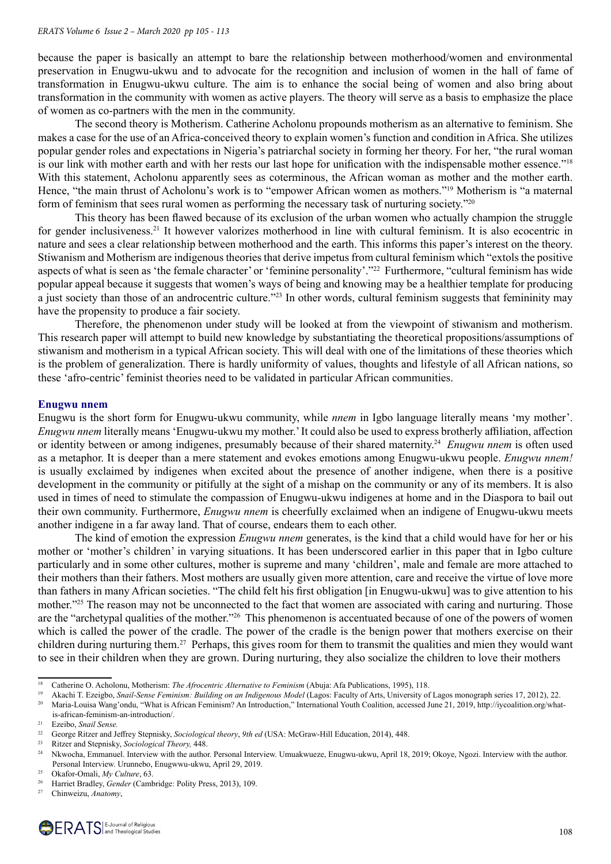because the paper is basically an attempt to bare the relationship between motherhood/women and environmental preservation in Enugwu-ukwu and to advocate for the recognition and inclusion of women in the hall of fame of transformation in Enugwu-ukwu culture. The aim is to enhance the social being of women and also bring about transformation in the community with women as active players. The theory will serve as a basis to emphasize the place of women as co-partners with the men in the community.

The second theory is Motherism. Catherine Acholonu propounds motherism as an alternative to feminism. She makes a case for the use of an Africa-conceived theory to explain women's function and condition in Africa. She utilizes popular gender roles and expectations in Nigeria's patriarchal society in forming her theory. For her, "the rural woman is our link with mother earth and with her rests our last hope for unification with the indispensable mother essence."18 With this statement, Acholonu apparently sees as coterminous, the African woman as mother and the mother earth. Hence, "the main thrust of Acholonu's work is to "empower African women as mothers."<sup>19</sup> Motherism is "a maternal form of feminism that sees rural women as performing the necessary task of nurturing society."<sup>20</sup>

This theory has been flawed because of its exclusion of the urban women who actually champion the struggle for gender inclusiveness.<sup>21</sup> It however valorizes motherhood in line with cultural feminism. It is also ecocentric in nature and sees a clear relationship between motherhood and the earth. This informs this paper's interest on the theory. Stiwanism and Motherism are indigenous theories that derive impetus from cultural feminism which "extols the positive aspects of what is seen as 'the female character' or 'feminine personality'."<sup>22</sup> Furthermore, "cultural feminism has wide popular appeal because it suggests that women's ways of being and knowing may be a healthier template for producing a just society than those of an androcentric culture."<sup>23</sup> In other words, cultural feminism suggests that femininity may have the propensity to produce a fair society.

Therefore, the phenomenon under study will be looked at from the viewpoint of stiwanism and motherism. This research paper will attempt to build new knowledge by substantiating the theoretical propositions/assumptions of stiwanism and motherism in a typical African society. This will deal with one of the limitations of these theories which is the problem of generalization. There is hardly uniformity of values, thoughts and lifestyle of all African nations, so these 'afro-centric' feminist theories need to be validated in particular African communities.

### **Enugwu nnem**

Enugwu is the short form for Enugwu-ukwu community, while *nnem* in Igbo language literally means 'my mother'. *Enugwu nnem* literally means 'Enugwu-ukwu my mother.' It could also be used to express brotherly affiliation, affection or identity between or among indigenes, presumably because of their shared maternity.<sup>24</sup> *Enugwu nnem* is often used as a metaphor. It is deeper than a mere statement and evokes emotions among Enugwu-ukwu people. *Enugwu nnem!*  is usually exclaimed by indigenes when excited about the presence of another indigene, when there is a positive development in the community or pitifully at the sight of a mishap on the community or any of its members. It is also used in times of need to stimulate the compassion of Enugwu-ukwu indigenes at home and in the Diaspora to bail out their own community. Furthermore, *Enugwu nnem* is cheerfully exclaimed when an indigene of Enugwu-ukwu meets another indigene in a far away land. That of course, endears them to each other.

The kind of emotion the expression *Enugwu nnem* generates, is the kind that a child would have for her or his mother or 'mother's children' in varying situations. It has been underscored earlier in this paper that in Igbo culture particularly and in some other cultures, mother is supreme and many 'children', male and female are more attached to their mothers than their fathers. Most mothers are usually given more attention, care and receive the virtue of love more than fathers in many African societies. "The child felt his first obligation [in Enugwu-ukwu] was to give attention to his mother."<sup>25</sup> The reason may not be unconnected to the fact that women are associated with caring and nurturing. Those are the "archetypal qualities of the mother."<sup>26</sup> This phenomenon is accentuated because of one of the powers of women which is called the power of the cradle. The power of the cradle is the benign power that mothers exercise on their children during nurturing them.<sup>27</sup> Perhaps, this gives room for them to transmit the qualities and mien they would want to see in their children when they are grown. During nurturing, they also socialize the children to love their mothers

<sup>&</sup>lt;sup>18</sup> Catherine O. Acholonu, Motherism: *The Afrocentric Alternative to Feminism* (Abuja: Afa Publications, 1995), 118.

<sup>19</sup> Akachi T. Ezeigbo, *Snail-Sense Feminism: Building on an Indigenous Model* (Lagos: Faculty of Arts, University of Lagos monograph series 17, 2012), 22. <sup>20</sup> Maria-Louisa Wang'ondu, "What is African Feminism? An Introduction," International Youth Coalition, accessed June 21, 2019, http://iycoalition.org/what-

is-african-feminism-an-introduction/.<br><sup>21</sup> Ezeibo, Snail Sansa

Ezeibo, *Snail Sense.* 

<sup>&</sup>lt;sup>22</sup> George Ritzer and Jeffrey Stepnisky, *Sociological theory*, *9th ed* (USA: McGraw-Hill Education, 2014), 448.<br><sup>23</sup> Pitzer and Steppisky, *Sociological Theory*, 448.

<sup>23</sup> Ritzer and Stepnisky, *Sociological Theory,* 448.

<sup>&</sup>lt;sup>24</sup> Nkwocha, Emmanuel. Interview with the author. Personal Interview. Umuakwueze, Enugwu-ukwu, April 18, 2019; Okoye, Ngozi. Interview with the author. Personal Interview. Urunnebo, Enugwwu-ukwu, April 29, 2019.<br><sup>25</sup> Okafan Omali, Mu Cultura 62.

<sup>25</sup> Okafor-Omali, *My Culture*, 63.

<sup>&</sup>lt;sup>26</sup> Harriet Bradley, *Gender* (Cambridge: Polity Press, 2013), 109.<br><sup>27</sup> Chinweizu *Anatomy* 

Chinweizu, Anatomy,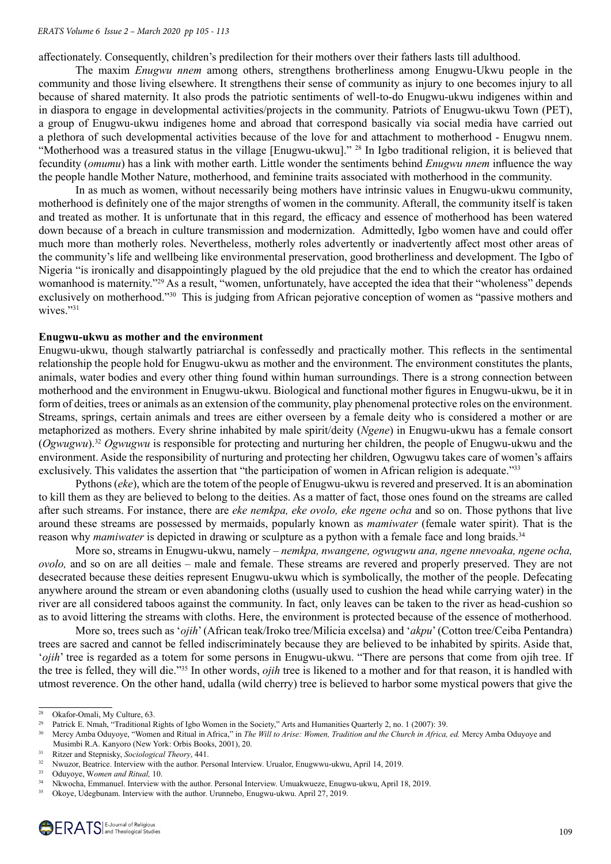affectionately. Consequently, children's predilection for their mothers over their fathers lasts till adulthood.

The maxim *Enugwu nnem* among others, strengthens brotherliness among Enugwu-Ukwu people in the community and those living elsewhere. It strengthens their sense of community as injury to one becomes injury to all because of shared maternity. It also prods the patriotic sentiments of well-to-do Enugwu-ukwu indigenes within and in diaspora to engage in developmental activities/projects in the community. Patriots of Enugwu-ukwu Town (PET), a group of Enugwu-ukwu indigenes home and abroad that correspond basically via social media have carried out a plethora of such developmental activities because of the love for and attachment to motherhood - Enugwu nnem. "Motherhood was a treasured status in the village [Enugwu-ukwu]." <sup>28</sup> In Igbo traditional religion, it is believed that fecundity (*omumu*) has a link with mother earth. Little wonder the sentiments behind *Enugwu nnem* influence the way the people handle Mother Nature, motherhood, and feminine traits associated with motherhood in the community.

In as much as women, without necessarily being mothers have intrinsic values in Enugwu-ukwu community, motherhood is definitely one of the major strengths of women in the community. Afterall, the community itself is taken and treated as mother. It is unfortunate that in this regard, the efficacy and essence of motherhood has been watered down because of a breach in culture transmission and modernization. Admittedly, Igbo women have and could offer much more than motherly roles. Nevertheless, motherly roles advertently or inadvertently affect most other areas of the community's life and wellbeing like environmental preservation, good brotherliness and development. The Igbo of Nigeria "is ironically and disappointingly plagued by the old prejudice that the end to which the creator has ordained womanhood is maternity."<sup>29</sup> As a result, "women, unfortunately, have accepted the idea that their "wholeness" depends exclusively on motherhood."<sup>30</sup> This is judging from African pejorative conception of women as "passive mothers and wives."31

#### **Enugwu-ukwu as mother and the environment**

Enugwu-ukwu, though stalwartly patriarchal is confessedly and practically mother. This reflects in the sentimental relationship the people hold for Enugwu-ukwu as mother and the environment. The environment constitutes the plants, animals, water bodies and every other thing found within human surroundings. There is a strong connection between motherhood and the environment in Enugwu-ukwu. Biological and functional mother figures in Enugwu-ukwu, be it in form of deities, trees or animals as an extension of the community, play phenomenal protective roles on the environment. Streams, springs, certain animals and trees are either overseen by a female deity who is considered a mother or are metaphorized as mothers. Every shrine inhabited by male spirit/deity (*Ngene*) in Enugwu-ukwu has a female consort (*Ogwugwu*).<sup>32</sup> *Ogwugwu* is responsible for protecting and nurturing her children, the people of Enugwu-ukwu and the environment. Aside the responsibility of nurturing and protecting her children, Ogwugwu takes care of women's affairs exclusively. This validates the assertion that "the participation of women in African religion is adequate."<sup>33</sup>

Pythons (*eke*), which are the totem of the people of Enugwu-ukwu is revered and preserved. It is an abomination to kill them as they are believed to belong to the deities. As a matter of fact, those ones found on the streams are called after such streams. For instance, there are *eke nemkpa, eke ovolo, eke ngene ocha* and so on. Those pythons that live around these streams are possessed by mermaids, popularly known as *mamiwater* (female water spirit). That is the reason why *mamiwater* is depicted in drawing or sculpture as a python with a female face and long braids.<sup>34</sup>

More so, streams in Enugwu-ukwu, namely – *nemkpa, nwangene, ogwugwu ana, ngene nnevoaka, ngene ocha, ovolo,* and so on are all deities – male and female. These streams are revered and properly preserved. They are not desecrated because these deities represent Enugwu-ukwu which is symbolically, the mother of the people. Defecating anywhere around the stream or even abandoning cloths (usually used to cushion the head while carrying water) in the river are all considered taboos against the community. In fact, only leaves can be taken to the river as head-cushion so as to avoid littering the streams with cloths. Here, the environment is protected because of the essence of motherhood.

More so, trees such as '*ojih*' (African teak/Iroko tree/Milicia excelsa) and '*akpu*' (Cotton tree/Ceiba Pentandra) trees are sacred and cannot be felled indiscriminately because they are believed to be inhabited by spirits. Aside that, '*ojih*' tree is regarded as a totem for some persons in Enugwu-ukwu. "There are persons that come from ojih tree. If the tree is felled, they will die."35 In other words, *ojih* tree is likened to a mother and for that reason, it is handled with utmost reverence. On the other hand, udalla (wild cherry) tree is believed to harbor some mystical powers that give the

<sup>&</sup>lt;sup>28</sup> Okafor-Omali, My Culture, 63.<br><sup>29</sup> Patrick E. Nmah "Traditional I

<sup>&</sup>lt;sup>29</sup> Patrick E. Nmah, "Traditional Rights of Igbo Women in the Society," Arts and Humanities Quarterly 2, no. 1 (2007): 39.<br><sup>30</sup> Marcy Ambo Odways "Waman and Bitual in Africa," in The Will to Avice: Waman Tradition and th

<sup>30</sup> Mercy Amba Oduyoye, "Women and Ritual in Africa," in *The Will to Arise: Women, Tradition and the Church in Africa, ed.* Mercy Amba Oduyoye and Musimbi R.A. Kanyoro (New York: Orbis Books, 2001), 20.

<sup>31</sup> Ritzer and Stepnisky, *Sociological Theory*, 441.

<sup>&</sup>lt;sup>32</sup> Nwuzor, Beatrice. Interview with the author. Personal Interview. Urualor, Enugwwu-ukwu, April 14, 2019.<br><sup>33</sup> Oduyoye, Women and Ritual, 10.

<sup>34</sup> Nkwocha, Emmanuel. Interview with the author. Personal Interview. Umuakwueze, Enugwu-ukwu, April 18, 2019.

<sup>35</sup> Okoye, Udegbunam. Interview with the author. Urunnebo, Enugwu-ukwu. April 27, 2019.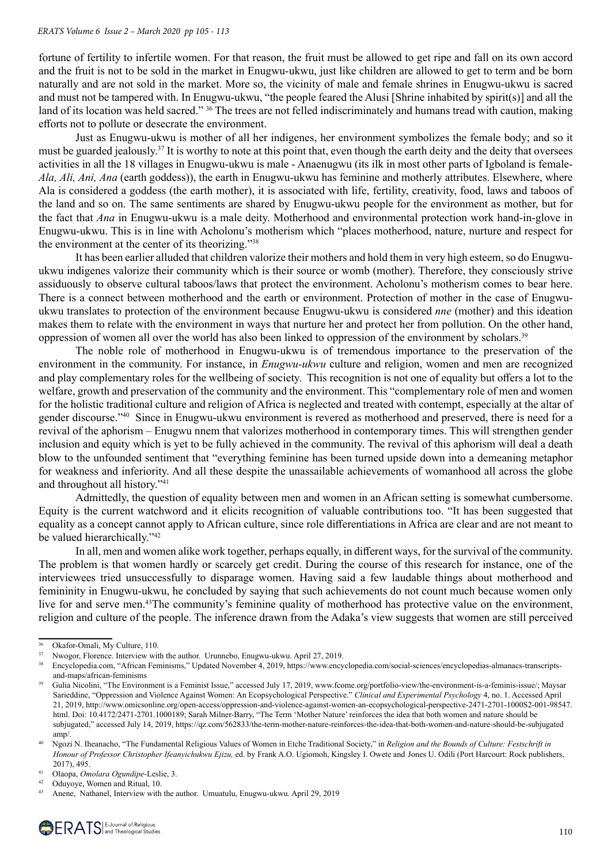#### *ERATS Volume 6 Issue 2 – March 2020 pp 105 - 113*

fortune of fertility to infertile women. For that reason, the fruit must be allowed to get ripe and fall on its own accord and the fruit is not to be sold in the market in Enugwu-ukwu, just like children are allowed to get to term and be born naturally and are not sold in the market. More so, the vicinity of male and female shrines in Enugwu-ukwu is sacred and must not be tampered with. In Enugwu-ukwu, "the people feared the Alusi [Shrine inhabited by spirit(s)] and all the land of its location was held sacred." <sup>36</sup> The trees are not felled indiscriminately and humans tread with caution, making efforts not to pollute or desecrate the environment.

Just as Enugwu-ukwu is mother of all her indigenes, her environment symbolizes the female body; and so it must be guarded jealously.<sup>37</sup> It is worthy to note at this point that, even though the earth deity and the deity that oversees activities in all the 18 villages in Enugwu-ukwu is male - Anaenugwu (its ilk in most other parts of Igboland is female-*Ala, Ali, Ani, Ana* (earth goddess)), the earth in Enugwu-ukwu has feminine and motherly attributes. Elsewhere, where Ala is considered a goddess (the earth mother), it is associated with life, fertility, creativity, food, laws and taboos of the land and so on. The same sentiments are shared by Enugwu-ukwu people for the environment as mother, but for the fact that *Ana* in Enugwu-ukwu is a male deity. Motherhood and environmental protection work hand-in-glove in Enugwu-ukwu. This is in line with Acholonu's motherism which "places motherhood, nature, nurture and respect for the environment at the center of its theorizing."<sup>38</sup>

It has been earlier alluded that children valorize their mothers and hold them in very high esteem, so do Enugwuukwu indigenes valorize their community which is their source or womb (mother). Therefore, they consciously strive assiduously to observe cultural taboos/laws that protect the environment. Acholonu's motherism comes to bear here. There is a connect between motherhood and the earth or environment. Protection of mother in the case of Enugwuukwu translates to protection of the environment because Enugwu-ukwu is considered *nne* (mother) and this ideation makes them to relate with the environment in ways that nurture her and protect her from pollution. On the other hand, oppression of women all over the world has also been linked to oppression of the environment by scholars.<sup>39</sup>

The noble role of motherhood in Enugwu-ukwu is of tremendous importance to the preservation of the environment in the community. For instance, in *Enugwu-ukwu* culture and religion, women and men are recognized and play complementary roles for the wellbeing of society. This recognition is not one of equality but offers a lot to the welfare, growth and preservation of the community and the environment. This "complementary role of men and women for the holistic traditional culture and religion of Africa is neglected and treated with contempt, especially at the altar of gender discourse."<sup>40</sup> Since in Enugwu-ukwu environment is revered as motherhood and preserved, there is need for a revival of the aphorism – Enugwu nnem that valorizes motherhood in contemporary times. This will strengthen gender inclusion and equity which is yet to be fully achieved in the community. The revival of this aphorism will deal a death blow to the unfounded sentiment that "everything feminine has been turned upside down into a demeaning metaphor for weakness and inferiority. And all these despite the unassailable achievements of womanhood all across the globe and throughout all history."<sup>41</sup>

Admittedly, the question of equality between men and women in an African setting is somewhat cumbersome. Equity is the current watchword and it elicits recognition of valuable contributions too. "It has been suggested that equality as a concept cannot apply to African culture, since role differentiations in Africa are clear and are not meant to be valued hierarchically."<sup>42</sup>

In all, men and women alike work together, perhaps equally, in different ways, for the survival of the community. The problem is that women hardly or scarcely get credit. During the course of this research for instance, one of the interviewees tried unsuccessfully to disparage women. Having said a few laudable things about motherhood and femininity in Enugwu-ukwu, he concluded by saying that such achievements do not count much because women only live for and serve men.<sup>43</sup>The community's feminine quality of motherhood has protective value on the environment, religion and culture of the people. The inference drawn from the Adaka's view suggests that women are still perceived

<sup>&</sup>lt;sup>36</sup> Okafor-Omali, My Culture, 110.<br><sup>37</sup> Nwogor, Florence. Interview with the author. Urunnebo, Enugwu-ukwu. April 27, 2019.<br><sup>37</sup> Encyclopedia.com, "African Feminisms," Updated November 4, 2019, https://www.encyclopedia.co and-maps/african-feminisms

Gulia Nicolini, "The Environment is a Feminist Issue," accessed July 17, 2019, www.fcome.org/portfolio-view/the-environment-is-a-feminis-issue/; Maysar Sarieddine, "Oppression and Violence Against Women: An Ecopsychological Perspective." *Clinical and Experimental Psychology* 4, no. 1. Accessed April 21, 2019, http://www.omicsonline.org/open-access/oppression-and-violence-against-women-an-ecopsychological-perspective-2471-2701-1000S2-001-98547. html. Doi: 10.4172/2471-2701.1000189; Sarah Milner-Barry, "The Term 'Mother Nature' reinforces the idea that both women and nature should be subjugated," accessed July 14, 2019, https://qz.com/562833/the-term-mother-nature-reinforces-the-idea-that-both-women-and-nature-should-be-subjugated  $amp/$ .

<sup>40</sup> Ngozi N. Iheanacho, "The Fundamental Religious Values of Women in Etche Traditional Society," in *Religion and the Bounds of Culture: Festschrift in Honour of Professor Christopher Ifeanyichukwu Ejizu,* ed. by Frank A.O. Ugiomoh, Kingsley I. Owete and Jones U. Odili (Port Harcourt: Rock publishers, 2017),  $495.$ 

<sup>41</sup> Olaopa, *Omolara Ogundipe*-Leslie, 3.

<sup>42</sup> Oduyoye, Women and Ritual, 10.

<sup>43</sup> Anene, Nathanel, Interview with the author. Umuatulu, Enugwu-ukwu. April 29, 2019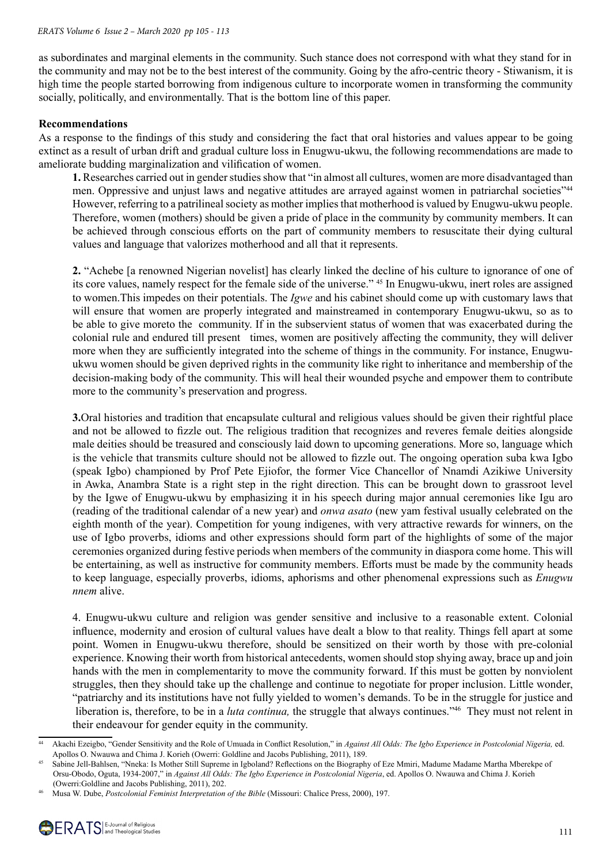as subordinates and marginal elements in the community. Such stance does not correspond with what they stand for in the community and may not be to the best interest of the community. Going by the afro-centric theory - Stiwanism, it is high time the people started borrowing from indigenous culture to incorporate women in transforming the community socially, politically, and environmentally. That is the bottom line of this paper.

#### **Recommendations**

As a response to the findings of this study and considering the fact that oral histories and values appear to be going extinct as a result of urban drift and gradual culture loss in Enugwu-ukwu, the following recommendations are made to ameliorate budding marginalization and vilification of women.

**1.** Researches carried out in gender studies show that "in almost all cultures, women are more disadvantaged than men. Oppressive and unjust laws and negative attitudes are arrayed against women in patriarchal societies"44 However, referring to a patrilineal society as mother implies that motherhood is valued by Enugwu-ukwu people. Therefore, women (mothers) should be given a pride of place in the community by community members. It can be achieved through conscious efforts on the part of community members to resuscitate their dying cultural values and language that valorizes motherhood and all that it represents.

**2.** "Achebe [a renowned Nigerian novelist] has clearly linked the decline of his culture to ignorance of one of its core values, namely respect for the female side of the universe." 45 In Enugwu-ukwu, inert roles are assigned to women.This impedes on their potentials. The *Igwe* and his cabinet should come up with customary laws that will ensure that women are properly integrated and mainstreamed in contemporary Enugwu-ukwu, so as to be able to give moreto the community. If in the subservient status of women that was exacerbated during the colonial rule and endured till present times, women are positively affecting the community, they will deliver more when they are sufficiently integrated into the scheme of things in the community. For instance, Enugwuukwu women should be given deprived rights in the community like right to inheritance and membership of the decision-making body of the community. This will heal their wounded psyche and empower them to contribute more to the community's preservation and progress.

**3.**Oral histories and tradition that encapsulate cultural and religious values should be given their rightful place and not be allowed to fizzle out. The religious tradition that recognizes and reveres female deities alongside male deities should be treasured and consciously laid down to upcoming generations. More so, language which is the vehicle that transmits culture should not be allowed to fizzle out. The ongoing operation suba kwa Igbo (speak Igbo) championed by Prof Pete Ejiofor, the former Vice Chancellor of Nnamdi Azikiwe University in Awka, Anambra State is a right step in the right direction. This can be brought down to grassroot level by the Igwe of Enugwu-ukwu by emphasizing it in his speech during major annual ceremonies like Igu aro (reading of the traditional calendar of a new year) and *onwa asato* (new yam festival usually celebrated on the eighth month of the year). Competition for young indigenes, with very attractive rewards for winners, on the use of Igbo proverbs, idioms and other expressions should form part of the highlights of some of the major ceremonies organized during festive periods when members of the community in diaspora come home. This will be entertaining, as well as instructive for community members. Efforts must be made by the community heads to keep language, especially proverbs, idioms, aphorisms and other phenomenal expressions such as *Enugwu nnem* alive.

4. Enugwu-ukwu culture and religion was gender sensitive and inclusive to a reasonable extent. Colonial influence, modernity and erosion of cultural values have dealt a blow to that reality. Things fell apart at some point. Women in Enugwu-ukwu therefore, should be sensitized on their worth by those with pre-colonial experience. Knowing their worth from historical antecedents, women should stop shying away, brace up and join hands with the men in complementarity to move the community forward. If this must be gotten by nonviolent struggles, then they should take up the challenge and continue to negotiate for proper inclusion. Little wonder, "patriarchy and its institutions have not fully yielded to women's demands. To be in the struggle for justice and liberation is, therefore, to be in a *luta continua*, the struggle that always continues.<sup>746</sup> They must not relent in their endeavour for gender equity in the community.

<sup>44</sup> Akachi Ezeigbo, "Gender Sensitivity and the Role of Umuada in Conflict Resolution," in *Against All Odds: The Igbo Experience in Postcolonial Nigeria,* ed. Apollos O. Nwauwa and Chima J. Korieh (Owerri: Goldline and Jacobs Publishing, 2011), 189.

<sup>45</sup> Sabine Jell-Bahlsen, "Nneka: Is Mother Still Supreme in Igboland? Reflections on the Biography of Eze Mmiri, Madume Madame Martha Mberekpe of Orsu-Obodo, Oguta, 1934-2007," in *Against All Odds: The Igbo Experience in Postcolonial Nigeria*, ed. Apollos O. Nwauwa and Chima J. Korieh (Owerri:Goldline and Jacobs Publishing, 2011), 202.

<sup>46</sup>  Musa W. Dube, *Postcolonial Feminist Interpretation of the Bible* (Missouri: Chalice Press, 2000), 197.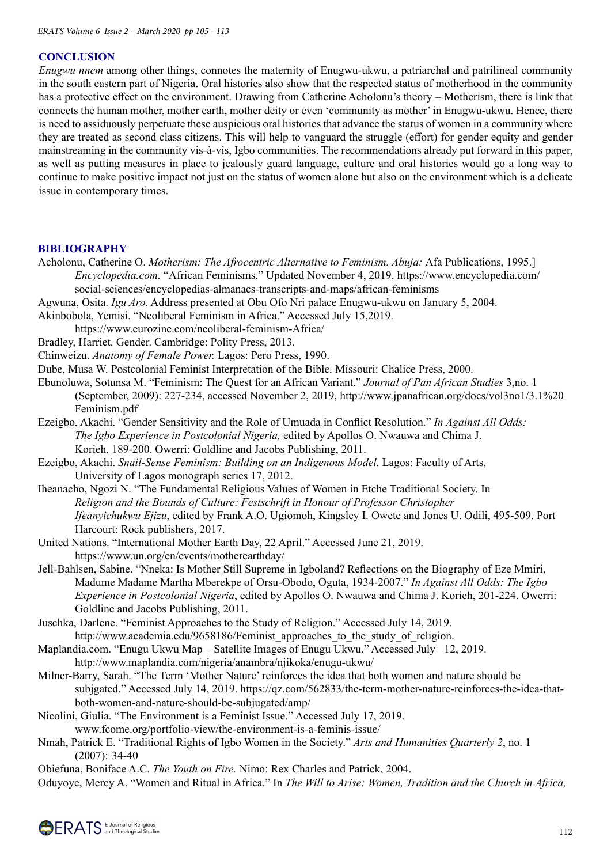# **CONCLUSION**

*Enugwu nnem* among other things, connotes the maternity of Enugwu-ukwu, a patriarchal and patrilineal community in the south eastern part of Nigeria. Oral histories also show that the respected status of motherhood in the community has a protective effect on the environment. Drawing from Catherine Acholonu's theory – Motherism, there is link that connects the human mother, mother earth, mother deity or even 'community as mother' in Enugwu-ukwu. Hence, there is need to assiduously perpetuate these auspicious oral histories that advance the status of women in a community where they are treated as second class citizens. This will help to vanguard the struggle (effort) for gender equity and gender mainstreaming in the community vis-à-vis, Igbo communities. The recommendations already put forward in this paper, as well as putting measures in place to jealously guard language, culture and oral histories would go a long way to continue to make positive impact not just on the status of women alone but also on the environment which is a delicate issue in contemporary times.

### **BIBLIOGRAPHY**

- Acholonu, Catherine O. *Motherism: The Afrocentric Alternative to Feminism. Abuja:* Afa Publications, 1995.] *Encyclopedia.com.* "African Feminisms." Updated November 4, 2019. https://www.encyclopedia.com/ social-sciences/encyclopedias-almanacs-transcripts-and-maps/african-feminisms
- Agwuna, Osita. *Igu Aro.* Address presented at Obu Ofo Nri palace Enugwu-ukwu on January 5, 2004.
- Akinbobola, Yemisi. "Neoliberal Feminism in Africa." Accessed July 15,2019.

https://www.eurozine.com/neoliberal-feminism-Africa/

- Bradley, Harriet. Gender. Cambridge: Polity Press, 2013.
- Chinweizu. *Anatomy of Female Power.* Lagos: Pero Press, 1990.
- Dube, Musa W. Postcolonial Feminist Interpretation of the Bible. Missouri: Chalice Press, 2000.
- Ebunoluwa, Sotunsa M. "Feminism: The Quest for an African Variant." *Journal of Pan African Studies* 3,no. 1 (September, 2009): 227-234, accessed November 2, 2019, http://www.jpanafrican.org/docs/vol3no1/3.1%20 Feminism.pdf
- Ezeigbo, Akachi. "Gender Sensitivity and the Role of Umuada in Conflict Resolution." *In Against All Odds: The Igbo Experience in Postcolonial Nigeria,* edited by Apollos O. Nwauwa and Chima J. Korieh, 189-200. Owerri: Goldline and Jacobs Publishing, 2011.
- Ezeigbo, Akachi. *Snail-Sense Feminism: Building on an Indigenous Model.* Lagos: Faculty of Arts, University of Lagos monograph series 17, 2012.
- Iheanacho, Ngozi N. "The Fundamental Religious Values of Women in Etche Traditional Society. In *Religion and the Bounds of Culture: Festschrift in Honour of Professor Christopher Ifeanyichukwu Ejizu*, edited by Frank A.O. Ugiomoh, Kingsley I. Owete and Jones U. Odili, 495-509. Port Harcourt: Rock publishers, 2017.
- United Nations. "International Mother Earth Day, 22 April." Accessed June 21, 2019. https://www.un.org/en/events/motherearthday/
- Jell-Bahlsen, Sabine. "Nneka: Is Mother Still Supreme in Igboland? Reflections on the Biography of Eze Mmiri, Madume Madame Martha Mberekpe of Orsu-Obodo, Oguta, 1934-2007." *In Against All Odds: The Igbo Experience in Postcolonial Nigeria*, edited by Apollos O. Nwauwa and Chima J. Korieh, 201-224. Owerri: Goldline and Jacobs Publishing, 2011.
- Juschka, Darlene. "Feminist Approaches to the Study of Religion." Accessed July 14, 2019. http://www.academia.edu/9658186/Feminist approaches to the study of religion.
- Maplandia.com. "Enugu Ukwu Map Satellite Images of Enugu Ukwu." Accessed July 12, 2019.
- http://www.maplandia.com/nigeria/anambra/njikoka/enugu-ukwu/ Milner-Barry, Sarah. "The Term 'Mother Nature' reinforces the idea that both women and nature should be subjgated." Accessed July 14, 2019. https://qz.com/562833/the-term-mother-nature-reinforces-the-idea-thatboth-women-and-nature-should-be-subjugated/amp/
- Nicolini, Giulia. "The Environment is a Feminist Issue." Accessed July 17, 2019.
	- www.fcome.org/portfolio-view/the-environment-is-a-feminis-issue/
- Nmah, Patrick E. "Traditional Rights of Igbo Women in the Society." *Arts and Humanities Quarterly 2*, no. 1 (2007): 34-40

Obiefuna, Boniface A.C. *The Youth on Fire.* Nimo: Rex Charles and Patrick, 2004.

Oduyoye, Mercy A. "Women and Ritual in Africa." In *The Will to Arise: Women, Tradition and the Church in Africa,*